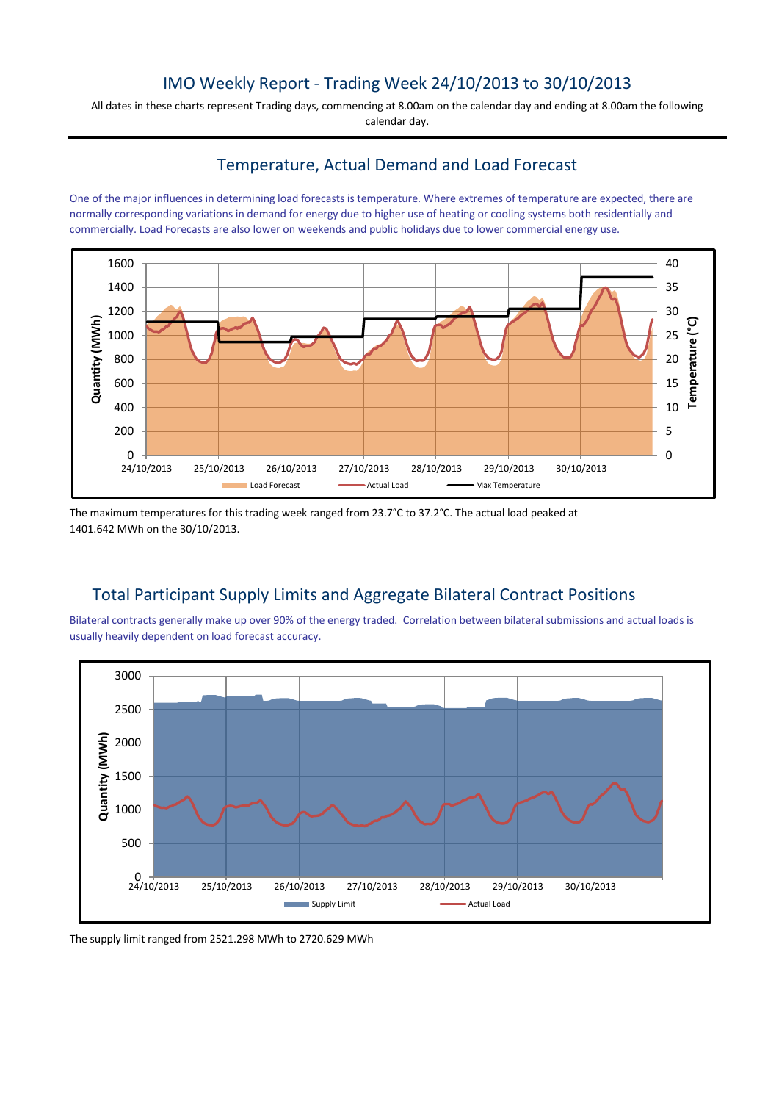## IMO Weekly Report - Trading Week 24/10/2013 to 30/10/2013

All dates in these charts represent Trading days, commencing at 8.00am on the calendar day and ending at 8.00am the following calendar day.

### Temperature, Actual Demand and Load Forecast

One of the major influences in determining load forecasts is temperature. Where extremes of temperature are expected, there are normally corresponding variations in demand for energy due to higher use of heating or cooling systems both residentially and commercially. Load Forecasts are also lower on weekends and public holidays due to lower commercial energy use.



The maximum temperatures for this trading week ranged from 23.7°C to 37.2°C. The actual load peaked at 1401.642 MWh on the 30/10/2013.

# Total Participant Supply Limits and Aggregate Bilateral Contract Positions

Bilateral contracts generally make up over 90% of the energy traded. Correlation between bilateral submissions and actual loads is usually heavily dependent on load forecast accuracy.



The supply limit ranged from 2521.298 MWh to 2720.629 MWh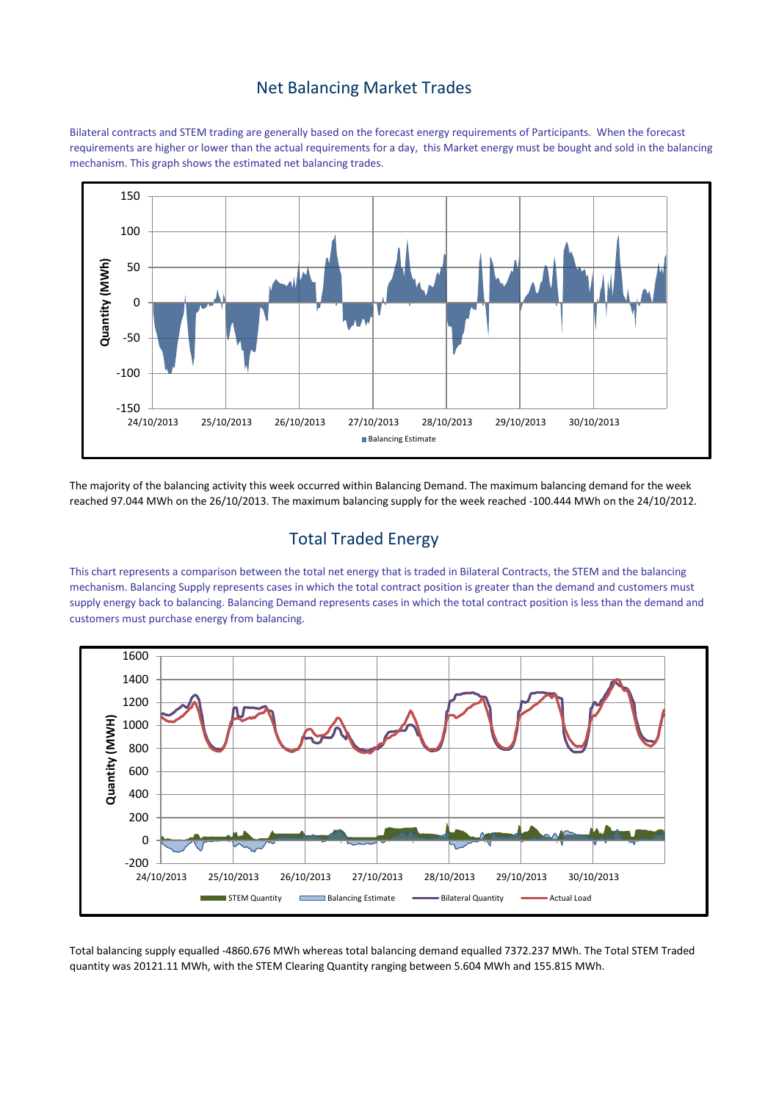#### Net Balancing Market Trades

Bilateral contracts and STEM trading are generally based on the forecast energy requirements of Participants. When the forecast requirements are higher or lower than the actual requirements for a day, this Market energy must be bought and sold in the balancing mechanism. This graph shows the estimated net balancing trades.



The majority of the balancing activity this week occurred within Balancing Demand. The maximum balancing demand for the week reached 97.044 MWh on the 26/10/2013. The maximum balancing supply for the week reached -100.444 MWh on the 24/10/2012.

## Total Traded Energy

This chart represents a comparison between the total net energy that is traded in Bilateral Contracts, the STEM and the balancing mechanism. Balancing Supply represents cases in which the total contract position is greater than the demand and customers must supply energy back to balancing. Balancing Demand represents cases in which the total contract position is less than the demand and customers must purchase energy from balancing.



Total balancing supply equalled -4860.676 MWh whereas total balancing demand equalled 7372.237 MWh. The Total STEM Traded quantity was 20121.11 MWh, with the STEM Clearing Quantity ranging between 5.604 MWh and 155.815 MWh.